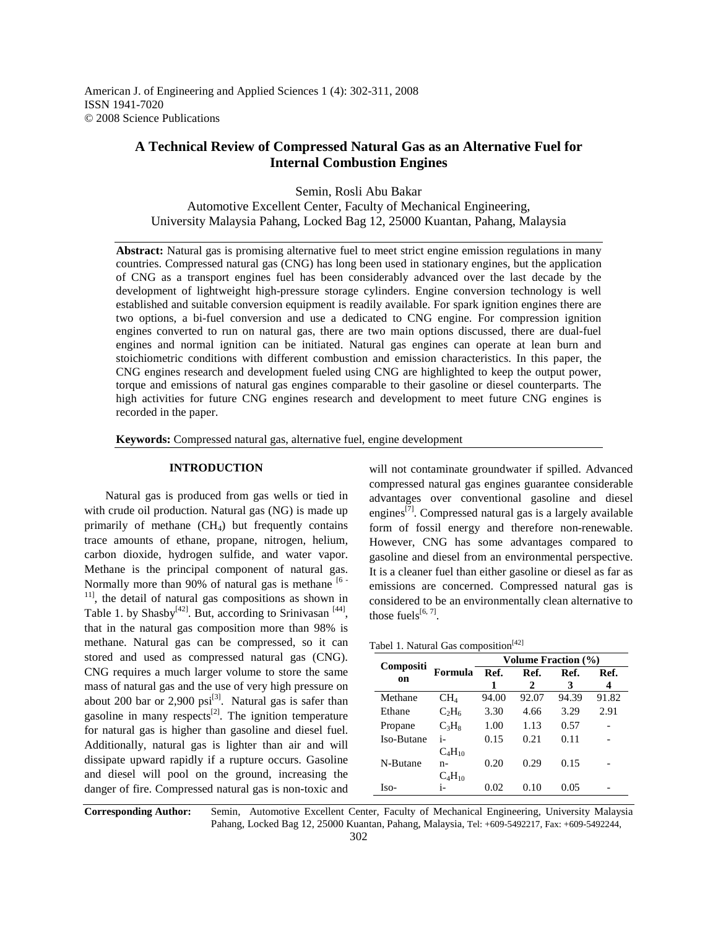American J. of Engineering and Applied Sciences 1 (4): 302-311, 2008 ISSN 1941-7020 © 2008 Science Publications

# **A Technical Review of Compressed Natural Gas as an Alternative Fuel for Internal Combustion Engines**

Semin, Rosli Abu Bakar Automotive Excellent Center, Faculty of Mechanical Engineering, University Malaysia Pahang, Locked Bag 12, 25000 Kuantan, Pahang, Malaysia

**Abstract:** Natural gas is promising alternative fuel to meet strict engine emission regulations in many countries. Compressed natural gas (CNG) has long been used in stationary engines, but the application of CNG as a transport engines fuel has been considerably advanced over the last decade by the development of lightweight high-pressure storage cylinders. Engine conversion technology is well established and suitable conversion equipment is readily available. For spark ignition engines there are two options, a bi-fuel conversion and use a dedicated to CNG engine. For compression ignition engines converted to run on natural gas, there are two main options discussed, there are dual-fuel engines and normal ignition can be initiated. Natural gas engines can operate at lean burn and stoichiometric conditions with different combustion and emission characteristics. In this paper, the CNG engines research and development fueled using CNG are highlighted to keep the output power, torque and emissions of natural gas engines comparable to their gasoline or diesel counterparts. The high activities for future CNG engines research and development to meet future CNG engines is recorded in the paper.

**Keywords:** Compressed natural gas, alternative fuel, engine development

## **INTRODUCTION**

Natural gas is produced from gas wells or tied in with crude oil production. Natural gas (NG) is made up primarily of methane  $(CH<sub>4</sub>)$  but frequently contains trace amounts of ethane, propane, nitrogen, helium, carbon dioxide, hydrogen sulfide, and water vapor. Methane is the principal component of natural gas. Normally more than 90% of natural gas is methane  $[6 -]$ <sup>11]</sup>, the detail of natural gas compositions as shown in Table 1. by Shasby<sup>[42]</sup>. But, according to Srinivasan<sup>[44]</sup>, that in the natural gas composition more than 98% is methane. Natural gas can be compressed, so it can stored and used as compressed natural gas (CNG). CNG requires a much larger volume to store the same mass of natural gas and the use of very high pressure on about 200 bar or 2,900 psi $^{[3]}$ . Natural gas is safer than gasoline in many respects $^{[2]}$ . The ignition temperature for natural gas is higher than gasoline and diesel fuel. Additionally, natural gas is lighter than air and will dissipate upward rapidly if a rupture occurs. Gasoline and diesel will pool on the ground, increasing the danger of fire. Compressed natural gas is non-toxic and

will not contaminate groundwater if spilled. Advanced compressed natural gas engines guarantee considerable advantages over conventional gasoline and diesel engines<sup>[7]</sup>. Compressed natural gas is a largely available form of fossil energy and therefore non-renewable. However, CNG has some advantages compared to gasoline and diesel from an environmental perspective. It is a cleaner fuel than either gasoline or diesel as far as emissions are concerned. Compressed natural gas is considered to be an environmentally clean alternative to those fuels $[6, 7]$ .

|  |  |  | Tabel 1. Natural Gas composition <sup>[42]</sup> |
|--|--|--|--------------------------------------------------|
|--|--|--|--------------------------------------------------|

| Compositi  |                                  | Volume Fraction (%) |           |           |           |
|------------|----------------------------------|---------------------|-----------|-----------|-----------|
| on         | Formula                          | Ref.<br>1           | Ref.<br>2 | Ref.<br>3 | Ref.<br>4 |
| Methane    | $CH_4$                           | 94.00               | 92.07     | 94.39     | 91.82     |
| Ethane     | $C_2H_6$                         | 3.30                | 4.66      | 3.29      | 2.91      |
| Propane    | $C_3H_8$                         | 1.00                | 1.13      | 0.57      |           |
| Iso-Butane | i-                               | 0.15                | 0.21      | 0.11      |           |
| N-Butane   | $C_4H_{10}$<br>n-<br>$C_4H_{10}$ | 0.20                | 0.29      | 0.15      |           |
| Iso-       | $1 -$                            | 0.02                | 0.10      | 0.05      |           |

**Corresponding Author:** Semin, Automotive Excellent Center, Faculty of Mechanical Engineering, University Malaysia Pahang, Locked Bag 12, 25000 Kuantan, Pahang, Malaysia, Tel: +609-5492217, Fax: +609-5492244,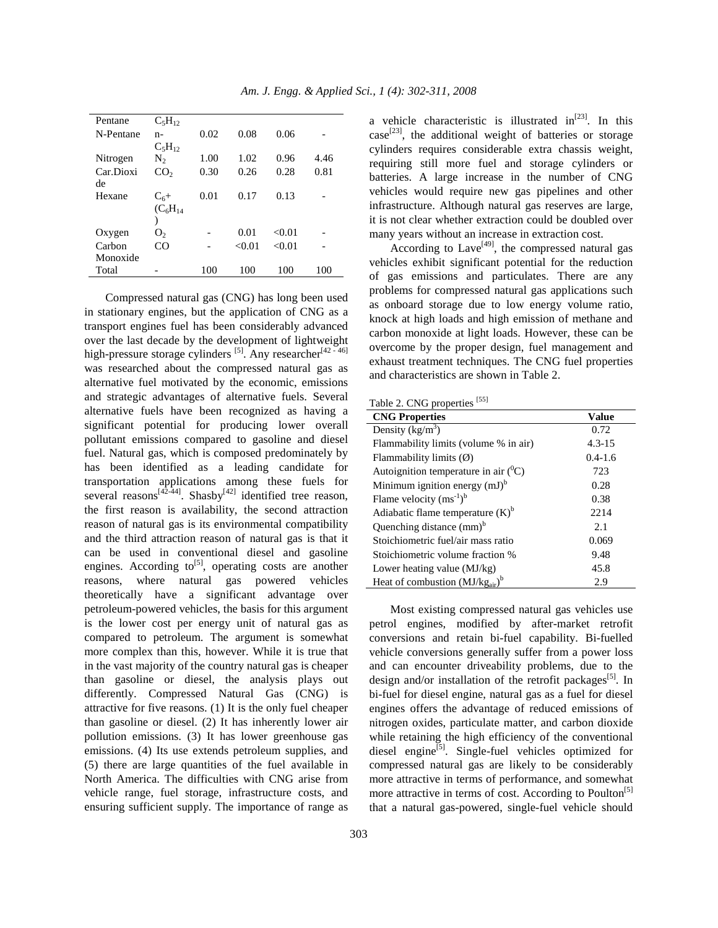| Pentane   | $C_5H_{12}$     |      |        |        |      |
|-----------|-----------------|------|--------|--------|------|
| N-Pentane | n-              | 0.02 | 0.08   | 0.06   |      |
|           | $C_5H_{12}$     |      |        |        |      |
| Nitrogen  | $N_2$           | 1.00 | 1.02   | 0.96   | 4.46 |
| Car.Dioxi | CO <sub>2</sub> | 0.30 | 0.26   | 0.28   | 0.81 |
| de        |                 |      |        |        |      |
| Hexane    | $C_{6}+$        | 0.01 | 0.17   | 0.13   |      |
|           | $(C_6H_{14}$    |      |        |        |      |
|           |                 |      |        |        |      |
| Oxygen    | O <sub>2</sub>  |      | 0.01   | < 0.01 |      |
| Carbon    | CO              |      | < 0.01 | < 0.01 |      |
| Monoxide  |                 |      |        |        |      |
| Total     |                 | 100  | 100    | 100    | 100  |

Compressed natural gas (CNG) has long been used in stationary engines, but the application of CNG as a transport engines fuel has been considerably advanced over the last decade by the development of lightweight high-pressure storage cylinders  $^{[5]}$ . Any researcher<sup>[42 - 46]</sup> was researched about the compressed natural gas as alternative fuel motivated by the economic, emissions and strategic advantages of alternative fuels. Several alternative fuels have been recognized as having a significant potential for producing lower overall pollutant emissions compared to gasoline and diesel fuel. Natural gas, which is composed predominately by has been identified as a leading candidate for transportation applications among these fuels for several reasons<sup> $[42-44]$ </sup>. Shasby<sup> $[42]$ </sup> identified tree reason, the first reason is availability, the second attraction reason of natural gas is its environmental compatibility and the third attraction reason of natural gas is that it can be used in conventional diesel and gasoline engines. According to<sup>[5]</sup>, operating costs are another reasons, where natural gas powered vehicles theoretically have a significant advantage over petroleum-powered vehicles, the basis for this argument is the lower cost per energy unit of natural gas as compared to petroleum. The argument is somewhat more complex than this, however. While it is true that in the vast majority of the country natural gas is cheaper than gasoline or diesel, the analysis plays out differently. Compressed Natural Gas (CNG) is attractive for five reasons. (1) It is the only fuel cheaper than gasoline or diesel. (2) It has inherently lower air pollution emissions. (3) It has lower greenhouse gas emissions. (4) Its use extends petroleum supplies, and (5) there are large quantities of the fuel available in North America. The difficulties with CNG arise from vehicle range, fuel storage, infrastructure costs, and ensuring sufficient supply. The importance of range as a vehicle characteristic is illustrated in $^{[23]}$ . In this  $case^{[23]}$ , the additional weight of batteries or storage cylinders requires considerable extra chassis weight, requiring still more fuel and storage cylinders or batteries. A large increase in the number of CNG vehicles would require new gas pipelines and other infrastructure. Although natural gas reserves are large, it is not clear whether extraction could be doubled over many years without an increase in extraction cost.

According to Lave<sup>[49]</sup>, the compressed natural gas vehicles exhibit significant potential for the reduction of gas emissions and particulates. There are any problems for compressed natural gas applications such as onboard storage due to low energy volume ratio, knock at high loads and high emission of methane and carbon monoxide at light loads. However, these can be overcome by the proper design, fuel management and exhaust treatment techniques. The CNG fuel properties and characteristics are shown in Table 2.

Table 2. CNG properties [55]

| <b>CNG Properties</b>                       | Value       |
|---------------------------------------------|-------------|
| Density $(kg/m^3)$                          | 0.72        |
| Flammability limits (volume % in air)       | $4.3 - 15$  |
| Flammability limits $(\emptyset)$           | $0.4 - 1.6$ |
| Autoignition temperature in air $({}^{0}C)$ | 723         |
| Minimum ignition energy $(mJ)^b$            | 0.28        |
| Flame velocity $(ms^{-1})^b$                | 0.38        |
| Adiabatic flame temperature $(K)^b$         | 2214        |
| Quenching distance (mm) <sup>b</sup>        | 2.1         |
| Stoichiometric fuel/air mass ratio          | 0.069       |
| Stoichiometric volume fraction %            | 9.48        |
| Lower heating value $(MJ/kg)$               | 45.8        |
| Heat of combustion $(MJ/kg_{air})^b$        | 2.9         |

Most existing compressed natural gas vehicles use petrol engines, modified by after-market retrofit conversions and retain bi-fuel capability. Bi-fuelled vehicle conversions generally suffer from a power loss and can encounter driveability problems, due to the design and/or installation of the retrofit packages<sup>[5]</sup>. In bi-fuel for diesel engine, natural gas as a fuel for diesel engines offers the advantage of reduced emissions of nitrogen oxides, particulate matter, and carbon dioxide while retaining the high efficiency of the conventional diesel engine<sup>[5]</sup>. Single-fuel vehicles optimized for compressed natural gas are likely to be considerably more attractive in terms of performance, and somewhat more attractive in terms of cost. According to Poulton<sup>[5]</sup> that a natural gas-powered, single-fuel vehicle should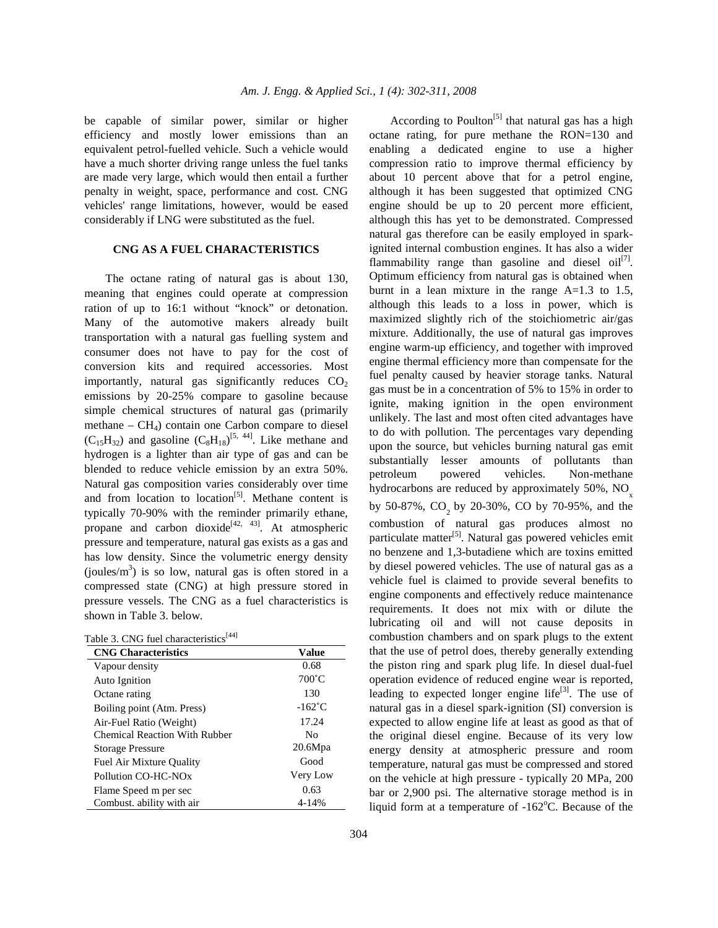be capable of similar power, similar or higher efficiency and mostly lower emissions than an equivalent petrol-fuelled vehicle. Such a vehicle would have a much shorter driving range unless the fuel tanks are made very large, which would then entail a further penalty in weight, space, performance and cost. CNG vehicles' range limitations, however, would be eased considerably if LNG were substituted as the fuel.

### **CNG AS A FUEL CHARACTERISTICS**

The octane rating of natural gas is about 130, meaning that engines could operate at compression ration of up to 16:1 without "knock" or detonation. Many of the automotive makers already built transportation with a natural gas fuelling system and consumer does not have to pay for the cost of conversion kits and required accessories. Most importantly, natural gas significantly reduces  $CO<sub>2</sub>$ emissions by 20-25% compare to gasoline because simple chemical structures of natural gas (primarily methane –  $CH<sub>4</sub>$ ) contain one Carbon compare to diesel  $(C_{15}H_{32})$  and gasoline  $(C_8H_{18})^{[5, 44]}$ . Like methane and hydrogen is a lighter than air type of gas and can be blended to reduce vehicle emission by an extra 50%. Natural gas composition varies considerably over time and from location to location<sup>[5]</sup>. Methane content is typically 70-90% with the reminder primarily ethane, propane and carbon dioxide<sup>[42, 43]</sup>. At atmospheric pressure and temperature, natural gas exists as a gas and has low density. Since the volumetric energy density (joules/ $m<sup>3</sup>$ ) is so low, natural gas is often stored in a compressed state (CNG) at high pressure stored in pressure vessels. The CNG as a fuel characteristics is shown in Table 3. below.

| Table 3. CNG fuel characteristics <sup>[44]</sup> |  |
|---------------------------------------------------|--|
|---------------------------------------------------|--|

| <b>CNG</b> Characteristics           | Value            |
|--------------------------------------|------------------|
| Vapour density                       | 0.68             |
| Auto Ignition                        | $700^{\circ}$ C  |
| Octane rating                        | 130              |
| Boiling point (Atm. Press)           | $-162^{\circ}$ C |
| Air-Fuel Ratio (Weight)              | 17.24            |
| <b>Chemical Reaction With Rubber</b> | Nο               |
| <b>Storage Pressure</b>              | 20.6Mpa          |
| <b>Fuel Air Mixture Ouality</b>      | Good             |
| Pollution CO-HC-NO <sub>x</sub>      | Very Low         |
| Flame Speed m per sec                | 0.63             |
| Combust. ability with air            | $4 - 14%$        |

304

According to Poulton<sup>[5]</sup> that natural gas has a high octane rating, for pure methane the RON=130 and enabling a dedicated engine to use a higher compression ratio to improve thermal efficiency by about 10 percent above that for a petrol engine, although it has been suggested that optimized CNG engine should be up to 20 percent more efficient, although this has yet to be demonstrated. Compressed natural gas therefore can be easily employed in sparkignited internal combustion engines. It has also a wider flammability range than gasoline and diesel  $\text{oil}^{[7]}$ . Optimum efficiency from natural gas is obtained when burnt in a lean mixture in the range A=1.3 to 1.5, although this leads to a loss in power, which is maximized slightly rich of the stoichiometric air/gas mixture. Additionally, the use of natural gas improves engine warm-up efficiency, and together with improved engine thermal efficiency more than compensate for the fuel penalty caused by heavier storage tanks. Natural gas must be in a concentration of 5% to 15% in order to ignite, making ignition in the open environment unlikely. The last and most often cited advantages have to do with pollution. The percentages vary depending upon the source, but vehicles burning natural gas emit substantially lesser amounts of pollutants than petroleum powered vehicles. Non-methane hydrocarbons are reduced by approximately  $50\%$ , NO<sub>y</sub> by 50-87%,  $CO_2$  by 20-30%, CO by 70-95%, and the combustion of natural gas produces almost no particulate matter<sup>[5]</sup>. Natural gas powered vehicles emit no benzene and 1,3-butadiene which are toxins emitted by diesel powered vehicles. The use of natural gas as a vehicle fuel is claimed to provide several benefits to engine components and effectively reduce maintenance requirements. It does not mix with or dilute the lubricating oil and will not cause deposits in combustion chambers and on spark plugs to the extent that the use of petrol does, thereby generally extending the piston ring and spark plug life. In diesel dual-fuel operation evidence of reduced engine wear is reported, leading to expected longer engine life<sup>[3]</sup>. The use of natural gas in a diesel spark-ignition (SI) conversion is expected to allow engine life at least as good as that of the original diesel engine. Because of its very low energy density at atmospheric pressure and room temperature, natural gas must be compressed and stored on the vehicle at high pressure - typically 20 MPa, 200 bar or 2,900 psi. The alternative storage method is in liquid form at a temperature of  $-162^{\circ}$ C. Because of the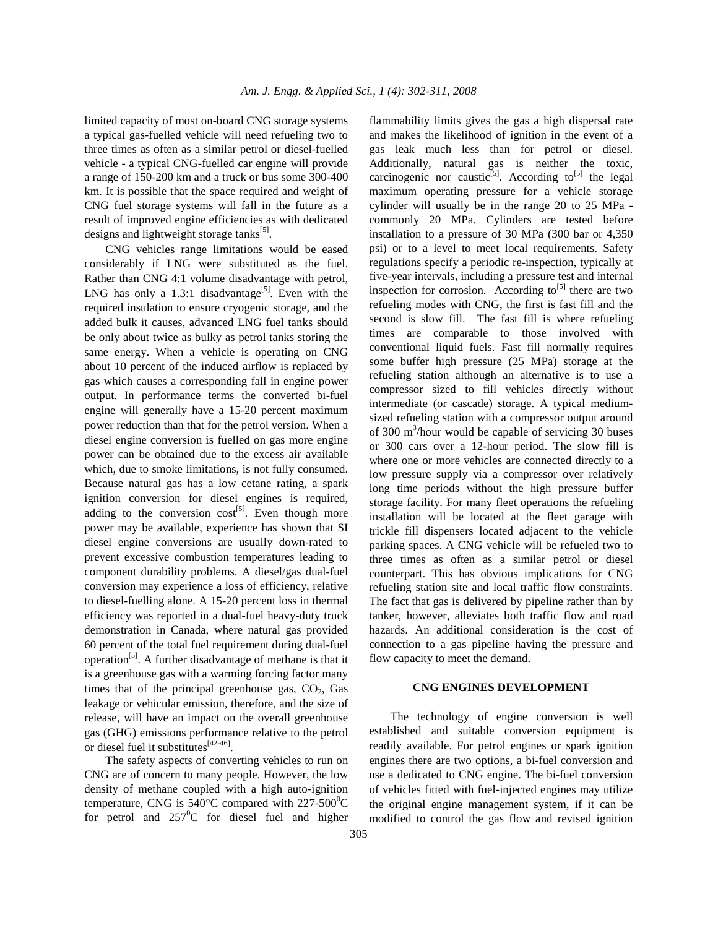limited capacity of most on-board CNG storage systems a typical gas-fuelled vehicle will need refueling two to three times as often as a similar petrol or diesel-fuelled vehicle - a typical CNG-fuelled car engine will provide a range of 150-200 km and a truck or bus some 300-400 km. It is possible that the space required and weight of CNG fuel storage systems will fall in the future as a result of improved engine efficiencies as with dedicated designs and lightweight storage tanks<sup>[5]</sup>.

CNG vehicles range limitations would be eased considerably if LNG were substituted as the fuel. Rather than CNG 4:1 volume disadvantage with petrol, LNG has only a 1.3:1 disadvantage<sup>[5]</sup>. Even with the required insulation to ensure cryogenic storage, and the added bulk it causes, advanced LNG fuel tanks should be only about twice as bulky as petrol tanks storing the same energy. When a vehicle is operating on CNG about 10 percent of the induced airflow is replaced by gas which causes a corresponding fall in engine power output. In performance terms the converted bi-fuel engine will generally have a 15-20 percent maximum power reduction than that for the petrol version. When a diesel engine conversion is fuelled on gas more engine power can be obtained due to the excess air available which, due to smoke limitations, is not fully consumed. Because natural gas has a low cetane rating, a spark ignition conversion for diesel engines is required, adding to the conversion  $cost^{[5]}$ . Even though more power may be available, experience has shown that SI diesel engine conversions are usually down-rated to prevent excessive combustion temperatures leading to component durability problems. A diesel/gas dual-fuel conversion may experience a loss of efficiency, relative to diesel-fuelling alone. A 15-20 percent loss in thermal efficiency was reported in a dual-fuel heavy-duty truck demonstration in Canada, where natural gas provided 60 percent of the total fuel requirement during dual-fuel operation[5]. A further disadvantage of methane is that it is a greenhouse gas with a warming forcing factor many times that of the principal greenhouse gas,  $CO<sub>2</sub>$ , Gas leakage or vehicular emission, therefore, and the size of release, will have an impact on the overall greenhouse gas (GHG) emissions performance relative to the petrol or diesel fuel it substitutes<sup>[42-46]</sup>.

The safety aspects of converting vehicles to run on CNG are of concern to many people. However, the low density of methane coupled with a high auto-ignition temperature, CNG is  $540^{\circ}$ C compared with  $227-500^{\circ}$ C for petrol and  $257^{\circ}$ C for diesel fuel and higher flammability limits gives the gas a high dispersal rate and makes the likelihood of ignition in the event of a gas leak much less than for petrol or diesel. Additionally, natural gas is neither the toxic, carcinogenic nor caustic<sup>[5]</sup>. According to<sup>[5]</sup> the legal maximum operating pressure for a vehicle storage cylinder will usually be in the range 20 to 25 MPa commonly 20 MPa. Cylinders are tested before installation to a pressure of 30 MPa (300 bar or 4,350 psi) or to a level to meet local requirements. Safety regulations specify a periodic re-inspection, typically at five-year intervals, including a pressure test and internal inspection for corrosion. According to<sup>[5]</sup> there are two refueling modes with CNG, the first is fast fill and the second is slow fill. The fast fill is where refueling times are comparable to those involved with conventional liquid fuels. Fast fill normally requires some buffer high pressure (25 MPa) storage at the refueling station although an alternative is to use a compressor sized to fill vehicles directly without intermediate (or cascade) storage. A typical mediumsized refueling station with a compressor output around of 300  $\text{m}^3$ /hour would be capable of servicing 30 buses or 300 cars over a 12-hour period. The slow fill is where one or more vehicles are connected directly to a low pressure supply via a compressor over relatively long time periods without the high pressure buffer storage facility. For many fleet operations the refueling installation will be located at the fleet garage with trickle fill dispensers located adjacent to the vehicle parking spaces. A CNG vehicle will be refueled two to three times as often as a similar petrol or diesel counterpart. This has obvious implications for CNG refueling station site and local traffic flow constraints. The fact that gas is delivered by pipeline rather than by tanker, however, alleviates both traffic flow and road hazards. An additional consideration is the cost of connection to a gas pipeline having the pressure and flow capacity to meet the demand.

### **CNG ENGINES DEVELOPMENT**

The technology of engine conversion is well established and suitable conversion equipment is readily available. For petrol engines or spark ignition engines there are two options, a bi-fuel conversion and use a dedicated to CNG engine. The bi-fuel conversion of vehicles fitted with fuel-injected engines may utilize the original engine management system, if it can be modified to control the gas flow and revised ignition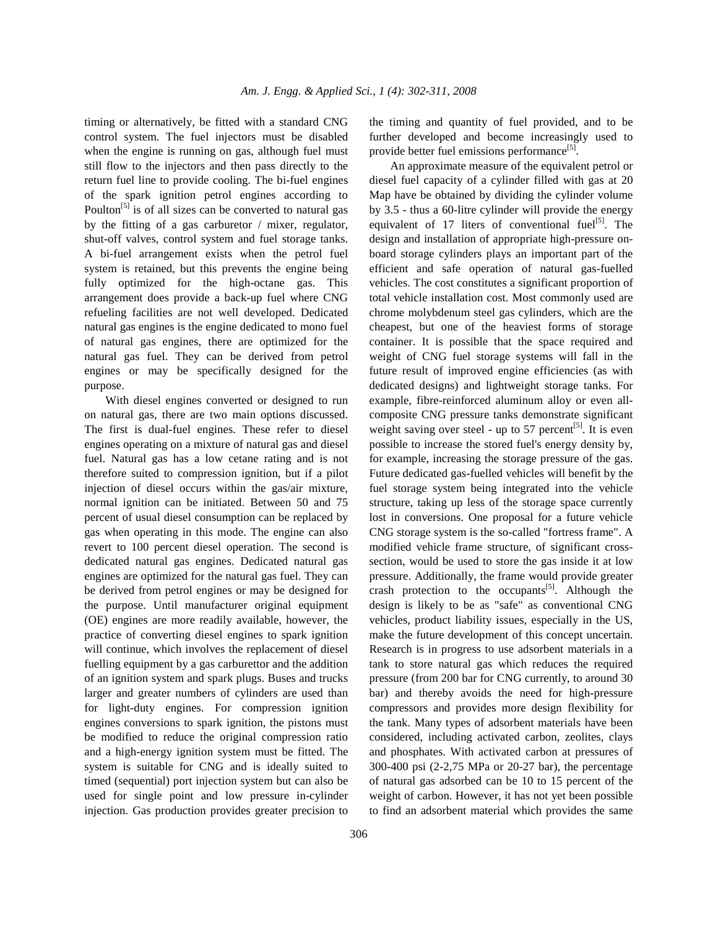timing or alternatively, be fitted with a standard CNG control system. The fuel injectors must be disabled when the engine is running on gas, although fuel must still flow to the injectors and then pass directly to the return fuel line to provide cooling. The bi-fuel engines of the spark ignition petrol engines according to Poulton<sup>[5]</sup> is of all sizes can be converted to natural gas by the fitting of a gas carburetor / mixer, regulator, shut-off valves, control system and fuel storage tanks. A bi-fuel arrangement exists when the petrol fuel system is retained, but this prevents the engine being fully optimized for the high-octane gas. This arrangement does provide a back-up fuel where CNG refueling facilities are not well developed. Dedicated natural gas engines is the engine dedicated to mono fuel of natural gas engines, there are optimized for the natural gas fuel. They can be derived from petrol engines or may be specifically designed for the purpose.

With diesel engines converted or designed to run on natural gas, there are two main options discussed. The first is dual-fuel engines. These refer to diesel engines operating on a mixture of natural gas and diesel fuel. Natural gas has a low cetane rating and is not therefore suited to compression ignition, but if a pilot injection of diesel occurs within the gas/air mixture, normal ignition can be initiated. Between 50 and 75 percent of usual diesel consumption can be replaced by gas when operating in this mode. The engine can also revert to 100 percent diesel operation. The second is dedicated natural gas engines. Dedicated natural gas engines are optimized for the natural gas fuel. They can be derived from petrol engines or may be designed for the purpose. Until manufacturer original equipment (OE) engines are more readily available, however, the practice of converting diesel engines to spark ignition will continue, which involves the replacement of diesel fuelling equipment by a gas carburettor and the addition of an ignition system and spark plugs. Buses and trucks larger and greater numbers of cylinders are used than for light-duty engines. For compression ignition engines conversions to spark ignition, the pistons must be modified to reduce the original compression ratio and a high-energy ignition system must be fitted. The system is suitable for CNG and is ideally suited to timed (sequential) port injection system but can also be used for single point and low pressure in-cylinder injection. Gas production provides greater precision to the timing and quantity of fuel provided, and to be further developed and become increasingly used to provide better fuel emissions performance<sup>[5]</sup>.

An approximate measure of the equivalent petrol or diesel fuel capacity of a cylinder filled with gas at 20 Map have be obtained by dividing the cylinder volume by 3.5 - thus a 60-litre cylinder will provide the energy equivalent of 17 liters of conventional fuel<sup>[5]</sup>. The design and installation of appropriate high-pressure onboard storage cylinders plays an important part of the efficient and safe operation of natural gas-fuelled vehicles. The cost constitutes a significant proportion of total vehicle installation cost. Most commonly used are chrome molybdenum steel gas cylinders, which are the cheapest, but one of the heaviest forms of storage container. It is possible that the space required and weight of CNG fuel storage systems will fall in the future result of improved engine efficiencies (as with dedicated designs) and lightweight storage tanks. For example, fibre-reinforced aluminum alloy or even allcomposite CNG pressure tanks demonstrate significant weight saving over steel - up to 57 percent<sup>[5]</sup>. It is even possible to increase the stored fuel's energy density by, for example, increasing the storage pressure of the gas. Future dedicated gas-fuelled vehicles will benefit by the fuel storage system being integrated into the vehicle structure, taking up less of the storage space currently lost in conversions. One proposal for a future vehicle CNG storage system is the so-called "fortress frame". A modified vehicle frame structure, of significant crosssection, would be used to store the gas inside it at low pressure. Additionally, the frame would provide greater crash protection to the occupants<sup>[5]</sup>. Although the design is likely to be as "safe" as conventional CNG vehicles, product liability issues, especially in the US, make the future development of this concept uncertain. Research is in progress to use adsorbent materials in a tank to store natural gas which reduces the required pressure (from 200 bar for CNG currently, to around 30 bar) and thereby avoids the need for high-pressure compressors and provides more design flexibility for the tank. Many types of adsorbent materials have been considered, including activated carbon, zeolites, clays and phosphates. With activated carbon at pressures of 300-400 psi (2-2,75 MPa or 20-27 bar), the percentage of natural gas adsorbed can be 10 to 15 percent of the weight of carbon. However, it has not yet been possible to find an adsorbent material which provides the same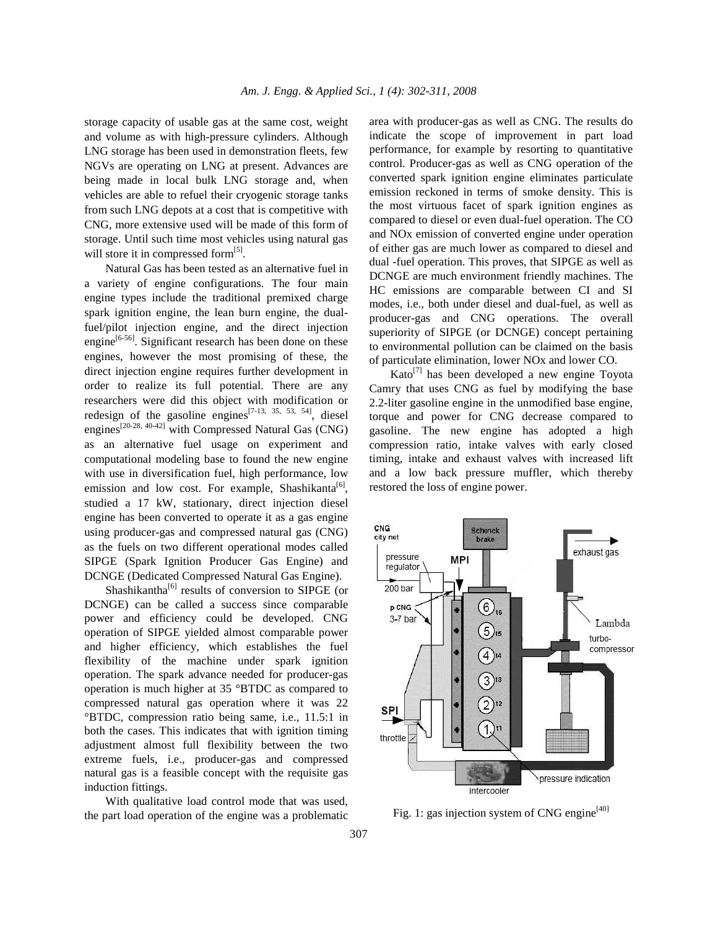storage capacity of usable gas at the same cost, weight and volume as with high-pressure cylinders. Although LNG storage has been used in demonstration fleets, few NGVs are operating on LNG at present. Advances are being made in local bulk LNG storage and, when vehicles are able to refuel their cryogenic storage tanks from such LNG depots at a cost that is competitive with CNG, more extensive used will be made of this form of storage. Until such time most vehicles using natural gas will store it in compressed form<sup>[5]</sup>.

Natural Gas has been tested as an alternative fuel in a variety of engine configurations. The four main engine types include the traditional premixed charge spark ignition engine, the lean burn engine, the dualfuel/pilot injection engine, and the direct injection engine<sup>[6-56]</sup>. Significant research has been done on these engines, however the most promising of these, the direct injection engine requires further development in order to realize its full potential. There are any researchers were did this object with modification or redesign of the gasoline engines<sup>[7-13, 35, 53, 54]</sup>, diesel engines<sup>[20-28, 40-42]</sup> with Compressed Natural Gas (CNG) as an alternative fuel usage on experiment and computational modeling base to found the new engine with use in diversification fuel, high performance, low emission and low cost. For example, Shashikanta<sup>[6]</sup>, studied a 17 kW, stationary, direct injection diesel engine has been converted to operate it as a gas engine using producer-gas and compressed natural gas (CNG) as the fuels on two different operational modes called SIPGE (Spark Ignition Producer Gas Engine) and DCNGE (Dedicated Compressed Natural Gas Engine).

Shashikantha<sup>[6]</sup> results of conversion to SIPGE (or DCNGE) can be called a success since comparable power and efficiency could be developed. CNG operation of SIPGE yielded almost comparable power and higher efficiency, which establishes the fuel flexibility of the machine under spark ignition operation. The spark advance needed for producer-gas operation is much higher at 35 °BTDC as compared to compressed natural gas operation where it was 22 °BTDC, compression ratio being same, i.e., 11.5:1 in both the cases. This indicates that with ignition timing adjustment almost full flexibility between the two extreme fuels, i.e., producer-gas and compressed natural gas is a feasible concept with the requisite gas induction fittings.

With qualitative load control mode that was used. the part load operation of the engine was a problematic area with producer-gas as well as CNG. The results do indicate the scope of improvement in part load performance, for example by resorting to quantitative control. Producer-gas as well as CNG operation of the converted spark ignition engine eliminates particulate emission reckoned in terms of smoke density. This is the most virtuous facet of spark ignition engines as compared to diesel or even dual-fuel operation. The CO and NOx emission of converted engine under operation of either gas are much lower as compared to diesel and dual -fuel operation. This proves, that SIPGE as well as DCNGE are much environment friendly machines. The HC emissions are comparable between CI and SI modes, i.e., both under diesel and dual-fuel, as well as producer-gas and CNG operations. The overall superiority of SIPGE (or DCNGE) concept pertaining to environmental pollution can be claimed on the basis of particulate elimination, lower NOx and lower CO.

 $Kato^{[7]}$  has been developed a new engine Toyota Camry that uses CNG as fuel by modifying the base 2.2-liter gasoline engine in the unmodified base engine, torque and power for CNG decrease compared to gasoline. The new engine has adopted a high compression ratio, intake valves with early closed timing, intake and exhaust valves with increased lift and a low back pressure muffler, which thereby restored the loss of engine power.



Fig. 1: gas injection system of CNG engine<sup>[40]</sup>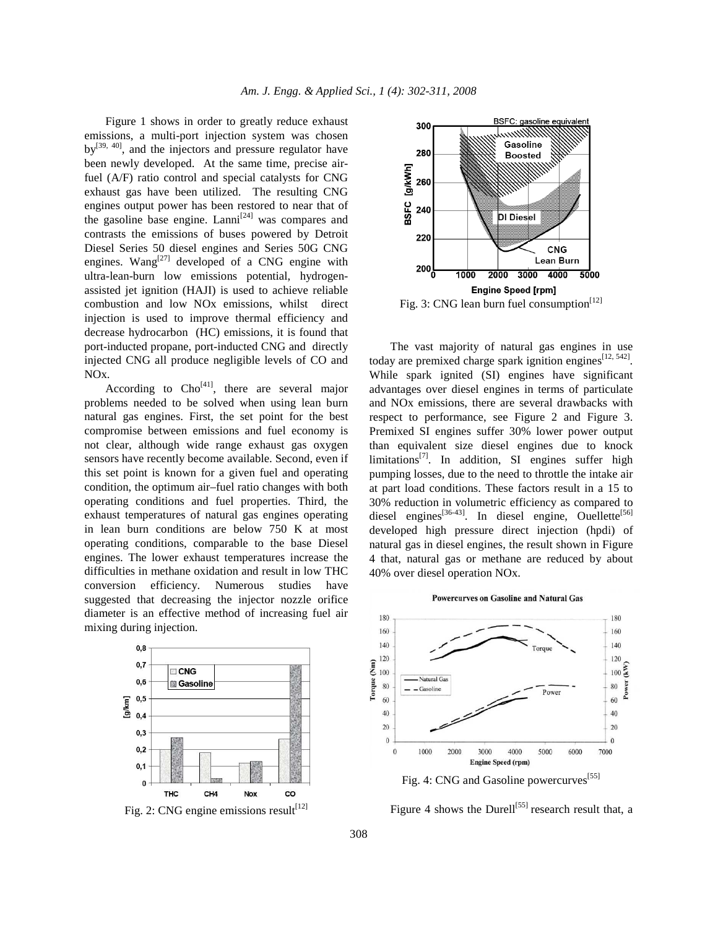Figure 1 shows in order to greatly reduce exhaust emissions, a multi-port injection system was chosen  $by$ <sup>[39, 40]</sup>, and the injectors and pressure regulator have been newly developed. At the same time, precise airfuel (A/F) ratio control and special catalysts for CNG exhaust gas have been utilized. The resulting CNG engines output power has been restored to near that of the gasoline base engine.  $Lanni^{[24]}$  was compares and contrasts the emissions of buses powered by Detroit Diesel Series 50 diesel engines and Series 50G CNG engines. Wang<sup>[27]</sup> developed of a CNG engine with ultra-lean-burn low emissions potential, hydrogenassisted jet ignition (HAJI) is used to achieve reliable combustion and low NOx emissions, whilst direct injection is used to improve thermal efficiency and decrease hydrocarbon (HC) emissions, it is found that port-inducted propane, port-inducted CNG and directly injected CNG all produce negligible levels of CO and NOx.

According to  $Cho<sup>[41]</sup>$ , there are several major problems needed to be solved when using lean burn natural gas engines. First, the set point for the best compromise between emissions and fuel economy is not clear, although wide range exhaust gas oxygen sensors have recently become available. Second, even if this set point is known for a given fuel and operating condition, the optimum air–fuel ratio changes with both operating conditions and fuel properties. Third, the exhaust temperatures of natural gas engines operating in lean burn conditions are below 750 K at most operating conditions, comparable to the base Diesel engines. The lower exhaust temperatures increase the difficulties in methane oxidation and result in low THC conversion efficiency. Numerous studies have suggested that decreasing the injector nozzle orifice diameter is an effective method of increasing fuel air mixing during injection.



Fig. 2: CNG engine emissions result $^{[12]}$ 



The vast majority of natural gas engines in use today are premixed charge spark ignition engines<sup>[12, 542]</sup>. While spark ignited (SI) engines have significant advantages over diesel engines in terms of particulate and NOx emissions, there are several drawbacks with respect to performance, see Figure 2 and Figure 3. Premixed SI engines suffer 30% lower power output than equivalent size diesel engines due to knock limitations<sup>[7]</sup>. In addition, SI engines suffer high pumping losses, due to the need to throttle the intake air at part load conditions. These factors result in a 15 to 30% reduction in volumetric efficiency as compared to diesel engines<sup>[36-43]</sup>. In diesel engine, Ouellette<sup>[56]</sup> developed high pressure direct injection (hpdi) of natural gas in diesel engines, the result shown in Figure 4 that, natural gas or methane are reduced by about 40% over diesel operation NOx.





Figure 4 shows the Durell<sup>[55]</sup> research result that, a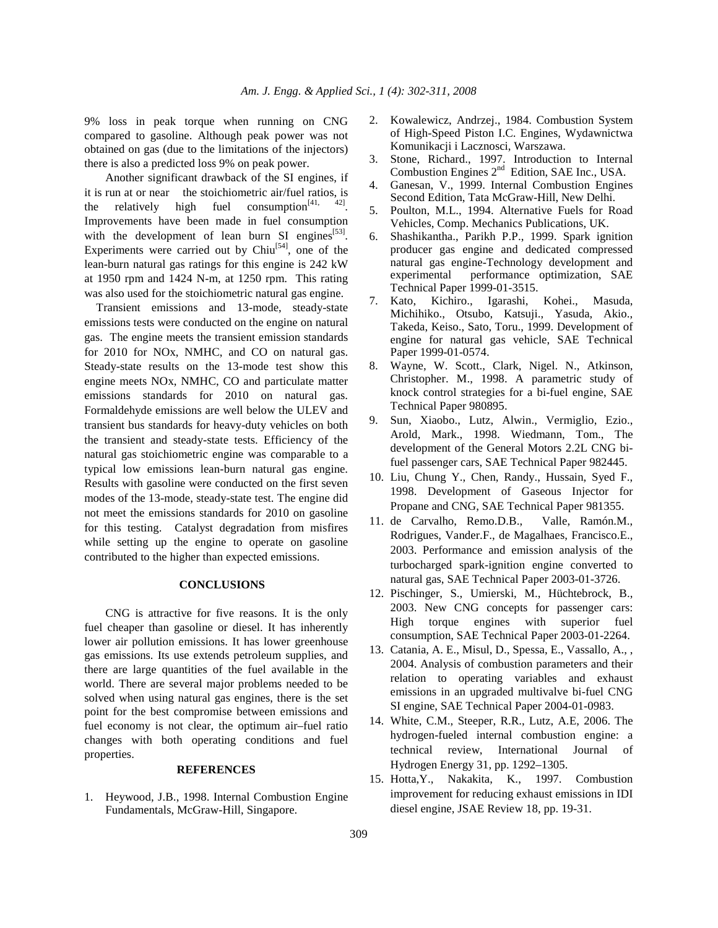9% loss in peak torque when running on CNG compared to gasoline. Although peak power was not obtained on gas (due to the limitations of the injectors) there is also a predicted loss 9% on peak power.

Another significant drawback of the SI engines, if it is run at or near the stoichiometric air/fuel ratios, is the relatively high fuel consumption $[41, 42]$ . Improvements have been made in fuel consumption with the development of lean burn SI engines<sup>[53]</sup>. Experiments were carried out by  $Chi^{[54]}$ , one of the lean-burn natural gas ratings for this engine is 242 kW at 1950 rpm and 1424 N-m, at 1250 rpm. This rating was also used for the stoichiometric natural gas engine.

Transient emissions and 13-mode, steady-state emissions tests were conducted on the engine on natural gas. The engine meets the transient emission standards for 2010 for NOx, NMHC, and CO on natural gas. Steady-state results on the 13-mode test show this engine meets NOx, NMHC, CO and particulate matter emissions standards for 2010 on natural gas. Formaldehyde emissions are well below the ULEV and transient bus standards for heavy-duty vehicles on both the transient and steady-state tests. Efficiency of the natural gas stoichiometric engine was comparable to a typical low emissions lean-burn natural gas engine. Results with gasoline were conducted on the first seven modes of the 13-mode, steady-state test. The engine did not meet the emissions standards for 2010 on gasoline for this testing. Catalyst degradation from misfires while setting up the engine to operate on gasoline contributed to the higher than expected emissions.

### **CONCLUSIONS**

CNG is attractive for five reasons. It is the only fuel cheaper than gasoline or diesel. It has inherently lower air pollution emissions. It has lower greenhouse gas emissions. Its use extends petroleum supplies, and there are large quantities of the fuel available in the world. There are several major problems needed to be solved when using natural gas engines, there is the set point for the best compromise between emissions and fuel economy is not clear, the optimum air–fuel ratio changes with both operating conditions and fuel properties.

#### **REFERENCES**

1. Heywood, J.B., 1998. Internal Combustion Engine Fundamentals, McGraw-Hill, Singapore.

- 2. Kowalewicz, Andrzej., 1984. Combustion System of High-Speed Piston I.C. Engines, Wydawnictwa Komunikacji i Lacznosci, Warszawa.
- 3. Stone, Richard., 1997. Introduction to Internal Combustion Engines 2nd Edition, SAE Inc., USA.
- 4. Ganesan, V., 1999. Internal Combustion Engines Second Edition, Tata McGraw-Hill, New Delhi.
- 5. Poulton, M.L., 1994. Alternative Fuels for Road Vehicles, Comp. Mechanics Publications, UK.
- 6. Shashikantha., Parikh P.P., 1999. Spark ignition producer gas engine and dedicated compressed natural gas engine-Technology development and experimental performance optimization, SAE Technical Paper 1999-01-3515.
- 7. Kato, Kichiro., Igarashi, Kohei., Masuda, Michihiko., Otsubo, Katsuji., Yasuda, Akio., Takeda, Keiso., Sato, Toru., 1999. Development of engine for natural gas vehicle, SAE Technical Paper 1999-01-0574.
- 8. Wayne, W. Scott., Clark, Nigel. N., Atkinson, Christopher. M., 1998. A parametric study of knock control strategies for a bi-fuel engine, SAE Technical Paper 980895.
- 9. Sun, Xiaobo., Lutz, Alwin., Vermiglio, Ezio., Arold, Mark., 1998. Wiedmann, Tom., The development of the General Motors 2.2L CNG bifuel passenger cars, SAE Technical Paper 982445.
- 10. Liu, Chung Y., Chen, Randy., Hussain, Syed F., 1998. Development of Gaseous Injector for Propane and CNG, SAE Technical Paper 981355.
- 11. de Carvalho, Remo.D.B., Valle, Ramón.M., Rodrigues, Vander.F., de Magalhaes, Francisco.E., 2003. Performance and emission analysis of the turbocharged spark-ignition engine converted to natural gas, SAE Technical Paper 2003-01-3726.
- 12. Pischinger, S., Umierski, M., Hüchtebrock, B., 2003. New CNG concepts for passenger cars: High torque engines with superior fuel consumption, SAE Technical Paper 2003-01-2264.
- 13. Catania, A. E., Misul, D., Spessa, E., Vassallo, A., , 2004. Analysis of combustion parameters and their relation to operating variables and exhaust emissions in an upgraded multivalve bi-fuel CNG SI engine, SAE Technical Paper 2004-01-0983.
- 14. White, C.M., Steeper, R.R., Lutz, A.E, 2006. The hydrogen-fueled internal combustion engine: a technical review, International Journal of Hydrogen Energy 31, pp. 1292–1305.
- 15. Hotta,Y., Nakakita, K., 1997. Combustion improvement for reducing exhaust emissions in IDI diesel engine, JSAE Review 18, pp. 19-31.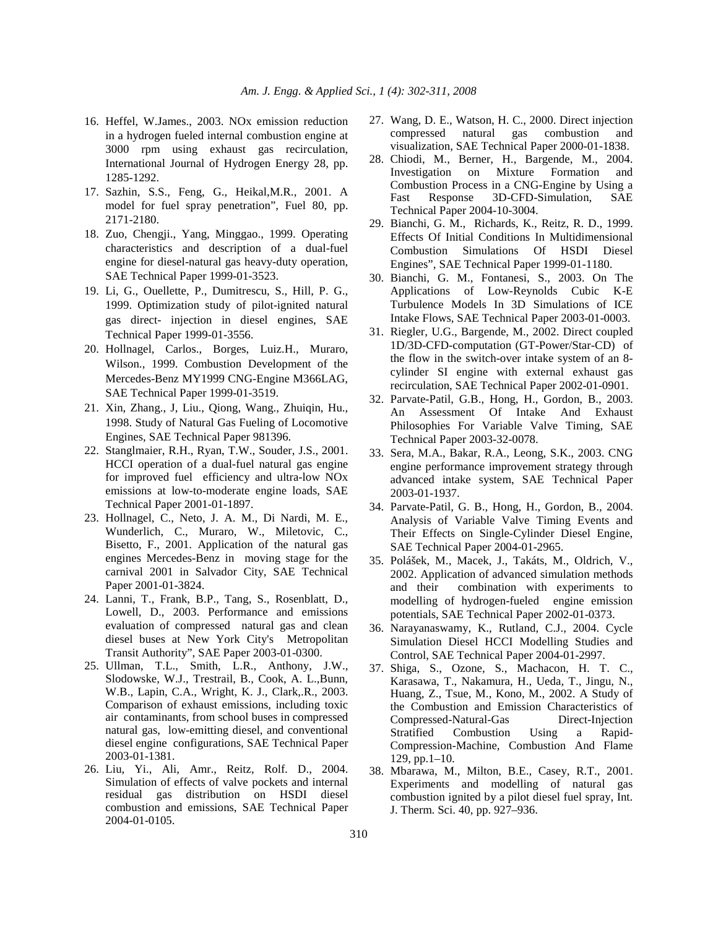- 16. Heffel, W.James., 2003. NOx emission reduction in a hydrogen fueled internal combustion engine at 3000 rpm using exhaust gas recirculation, International Journal of Hydrogen Energy 28, pp. 1285-1292.
- 17. Sazhin, S.S., Feng, G., Heikal,M.R., 2001. A model for fuel spray penetration", Fuel 80, pp. 2171-2180.
- 18. Zuo, Chengji., Yang, Minggao., 1999. Operating characteristics and description of a dual-fuel engine for diesel-natural gas heavy-duty operation, SAE Technical Paper 1999-01-3523.
- 19. Li, G., Ouellette, P., Dumitrescu, S., Hill, P. G., 1999. Optimization study of pilot-ignited natural gas direct- injection in diesel engines, SAE Technical Paper 1999-01-3556.
- 20. Hollnagel, Carlos., Borges, Luiz.H., Muraro, Wilson., 1999. Combustion Development of the Mercedes-Benz MY1999 CNG-Engine M366LAG, SAE Technical Paper 1999-01-3519.
- 21. Xin, Zhang., J, Liu., Qiong, Wang., Zhuiqin, Hu., 1998. Study of Natural Gas Fueling of Locomotive Engines, SAE Technical Paper 981396.
- 22. Stanglmaier, R.H., Ryan, T.W., Souder, J.S., 2001. HCCI operation of a dual-fuel natural gas engine for improved fuel efficiency and ultra-low NOx emissions at low-to-moderate engine loads, SAE Technical Paper 2001-01-1897.
- 23. Hollnagel, C., Neto, J. A. M., Di Nardi, M. E., Wunderlich, C., Muraro, W., Miletovic, C., Bisetto, F., 2001. Application of the natural gas engines Mercedes-Benz in moving stage for the carnival 2001 in Salvador City, SAE Technical Paper 2001-01-3824.
- 24. Lanni, T., Frank, B.P., Tang, S., Rosenblatt, D., Lowell, D., 2003. Performance and emissions evaluation of compressed natural gas and clean diesel buses at New York City's Metropolitan Transit Authority", SAE Paper 2003-01-0300.
- 25. Ullman, T.L., Smith, L.R., Anthony, J.W., Slodowske, W.J., Trestrail, B., Cook, A. L.,Bunn, W.B., Lapin, C.A., Wright, K. J., Clark,.R., 2003. Comparison of exhaust emissions, including toxic air contaminants, from school buses in compressed natural gas, low-emitting diesel, and conventional diesel engine configurations, SAE Technical Paper 2003-01-1381.
- 26. Liu, Yi., Ali, Amr., Reitz, Rolf. D., 2004. Simulation of effects of valve pockets and internal residual gas distribution on HSDI diesel combustion and emissions, SAE Technical Paper 2004-01-0105.
- 27. Wang, D. E., Watson, H. C., 2000. Direct injection compressed natural gas combustion and visualization, SAE Technical Paper 2000-01-1838.
- 28. Chiodi, M., Berner, H., Bargende, M., 2004. Investigation on Mixture Formation and Combustion Process in a CNG-Engine by Using a Fast Response 3D-CFD-Simulation, SAE Technical Paper 2004-10-3004.
- 29. Bianchi, G. M., Richards, K., Reitz, R. D., 1999. Effects Of Initial Conditions In Multidimensional Combustion Simulations Of HSDI Diesel Engines", SAE Technical Paper 1999-01-1180.
- 30. Bianchi, G. M., Fontanesi, S., 2003. On The Applications of Low-Reynolds Cubic K-E Turbulence Models In 3D Simulations of ICE Intake Flows, SAE Technical Paper 2003-01-0003.
- 31. Riegler, U.G., Bargende, M., 2002. Direct coupled 1D/3D-CFD-computation (GT-Power/Star-CD) of the flow in the switch-over intake system of an 8 cylinder SI engine with external exhaust gas recirculation, SAE Technical Paper 2002-01-0901.
- 32. Parvate-Patil, G.B., Hong, H., Gordon, B., 2003. An Assessment Of Intake And Exhaust Philosophies For Variable Valve Timing, SAE Technical Paper 2003-32-0078.
- 33. Sera, M.A., Bakar, R.A., Leong, S.K., 2003. CNG engine performance improvement strategy through advanced intake system, SAE Technical Paper 2003-01-1937.
- 34. Parvate-Patil, G. B., Hong, H., Gordon, B., 2004. Analysis of Variable Valve Timing Events and Their Effects on Single-Cylinder Diesel Engine, SAE Technical Paper 2004-01-2965.
- 35. Polášek, M., Macek, J., Takáts, M., Oldrich, V., 2002. Application of advanced simulation methods and their combination with experiments to modelling of hydrogen-fueled engine emission potentials, SAE Technical Paper 2002-01-0373.
- 36. Narayanaswamy, K., Rutland, C.J., 2004. Cycle Simulation Diesel HCCI Modelling Studies and Control, SAE Technical Paper 2004-01-2997.
- 37. Shiga, S., Ozone, S., Machacon, H. T. C., Karasawa, T., Nakamura, H., Ueda, T., Jingu, N., Huang, Z., Tsue, M., Kono, M., 2002. A Study of the Combustion and Emission Characteristics of Compressed-Natural-Gas Direct-Injection Stratified Combustion Using a Rapid-Compression-Machine, Combustion And Flame 129, pp.1–10.
- 38. Mbarawa, M., Milton, B.E., Casey, R.T., 2001. Experiments and modelling of natural gas combustion ignited by a pilot diesel fuel spray, Int. J. Therm. Sci. 40, pp. 927–936.